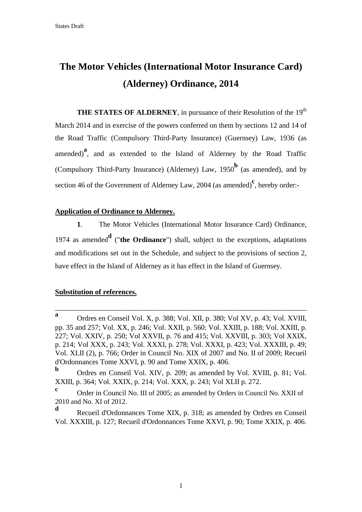# **The Motor Vehicles (International Motor Insurance Card) (Alderney) Ordinance, 2014**

**THE STATES OF ALDERNEY**, in pursuance of their Resolution of the 19<sup>th</sup> March 2014 and in exercise of the powers conferred on them by sections 12 and 14 of the Road Traffic (Compulsory Third-Party Insurance) (Guernsey) Law, 1936 (as amended)<sup>a</sup>, and as extended to the Island of Alderney by the Road Traffic (Compulsory Third-Party Insurance) (Alderney) Law, 1950**<sup>b</sup>** (as amended), and by section 46 of the Government of Alderney Law, 2004 (as amended)<sup>c</sup>, hereby order:-

#### **Application of Ordinance to Alderney.**

**1**. The Motor Vehicles (International Motor Insurance Card) Ordinance, <sup>1974</sup> as amended**<sup>d</sup>** ("**the Ordinance**") shall, subject to the exceptions, adaptations and modifications set out in the Schedule, and subject to the provisions of section 2, have effect in the Island of Alderney as it has effect in the Island of Guernsey.

#### **Substitution of references.**

\_\_\_\_\_\_\_\_\_\_\_\_\_\_\_\_\_\_\_\_\_\_\_\_\_\_\_\_\_\_\_\_\_\_\_\_\_\_\_\_\_\_\_\_\_\_\_\_\_\_\_\_\_\_\_\_\_\_\_\_\_\_\_\_\_\_\_\_\_

**a** Ordres en Conseil Vol. X, p. 388; Vol. XII, p. 380; Vol XV, p. 43; Vol. XVIII, pp. 35 and 257; Vol. XX, p. 246; Vol. XXII, p. 560; Vol. XXIII, p. 188; Vol. XXIII, p. 227; Vol. XXIV, p. 250; Vol XXVII, p. 76 and 415; Vol. XXVIII, p. 303; Vol XXIX, p. 214; Vol XXX, p. 243; Vol. XXXI, p. 278; Vol. XXXI, p. 423; Vol. XXXIII, p. 49; Vol. XLII (2), p. 766; Order in Council No. XIX of 2007 and No. II of 2009; Recueil d'Ordonnances Tome XXVI, p. 90 and Tome XXIX, p. 406.

**b** Ordres en Conseil Vol. XIV, p. 209; as amended by Vol. XVIII, p. 81; Vol. XXIII, p. 364; Vol. XXIX, p. 214; Vol. XXX, p. 243; Vol XLII p. 272.

**c** Order in Council No. III of 2005; as amended by Orders in Council No. XXII of 2010 and No. XI of 2012.

**d** Recueil d'Ordonnances Tome XIX, p. 318; as amended by Ordres en Conseil Vol. XXXIII, p. 127; Recueil d'Ordonnances Tome XXVI, p. 90; Tome XXIX, p. 406.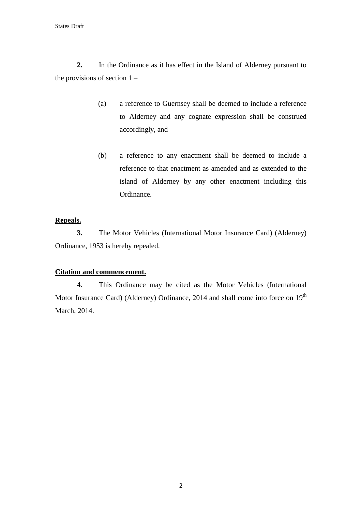**2.** In the Ordinance as it has effect in the Island of Alderney pursuant to the provisions of section  $1 -$ 

- (a) a reference to Guernsey shall be deemed to include a reference to Alderney and any cognate expression shall be construed accordingly, and
- (b) a reference to any enactment shall be deemed to include a reference to that enactment as amended and as extended to the island of Alderney by any other enactment including this Ordinance.

## **Repeals.**

**3.** The Motor Vehicles (International Motor Insurance Card) (Alderney) Ordinance, 1953 is hereby repealed.

## **Citation and commencement.**

**4**. This Ordinance may be cited as the Motor Vehicles (International Motor Insurance Card) (Alderney) Ordinance, 2014 and shall come into force on  $19<sup>th</sup>$ March, 2014.